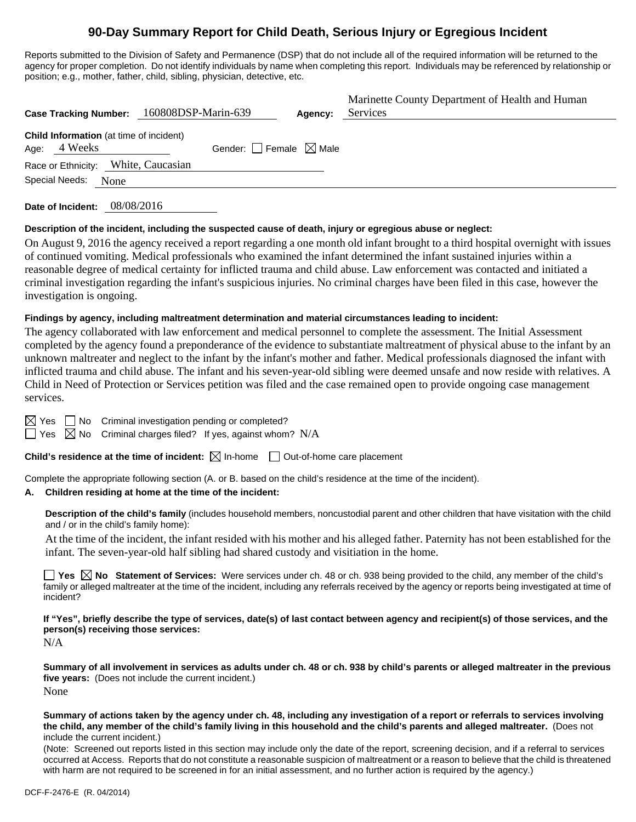# **90-Day Summary Report for Child Death, Serious Injury or Egregious Incident**

Reports submitted to the Division of Safety and Permanence (DSP) that do not include all of the required information will be returned to the agency for proper completion. Do not identify individuals by name when completing this report. Individuals may be referenced by relationship or position; e.g., mother, father, child, sibling, physician, detective, etc.

| Case Tracking Number: 160808DSP-Marin-639                      | Agency:                         | Marinette County Department of Health and Human<br>Services |
|----------------------------------------------------------------|---------------------------------|-------------------------------------------------------------|
| <b>Child Information</b> (at time of incident)<br>Age: 4 Weeks | Gender: Female $\boxtimes$ Male |                                                             |
| Race or Ethnicity: White, Caucasian                            |                                 |                                                             |
| Special Needs:<br>None                                         |                                 |                                                             |
|                                                                |                                 |                                                             |

**Date of Incident:** 08/08/2016

#### **Description of the incident, including the suspected cause of death, injury or egregious abuse or neglect:**

On August 9, 2016 the agency received a report regarding a one month old infant brought to a third hospital overnight with issues of continued vomiting. Medical professionals who examined the infant determined the infant sustained injuries within a reasonable degree of medical certainty for inflicted trauma and child abuse. Law enforcement was contacted and initiated a criminal investigation regarding the infant's suspicious injuries. No criminal charges have been filed in this case, however the investigation is ongoing.

#### **Findings by agency, including maltreatment determination and material circumstances leading to incident:**

The agency collaborated with law enforcement and medical personnel to complete the assessment. The Initial Assessment completed by the agency found a preponderance of the evidence to substantiate maltreatment of physical abuse to the infant by an unknown maltreater and neglect to the infant by the infant's mother and father. Medical professionals diagnosed the infant with inflicted trauma and child abuse. The infant and his seven-year-old sibling were deemed unsafe and now reside with relatives. A Child in Need of Protection or Services petition was filed and the case remained open to provide ongoing case management services.

 $\boxtimes$  Yes  $\Box$  No Criminal investigation pending or completed?

 $\Box$  Yes  $\Box$  No Criminal charges filed? If yes, against whom? N/A

**Child's residence at the time of incident:**  $\boxtimes$  In-home  $\Box$  Out-of-home care placement

Complete the appropriate following section (A. or B. based on the child's residence at the time of the incident).

#### **A. Children residing at home at the time of the incident:**

**Description of the child's family** (includes household members, noncustodial parent and other children that have visitation with the child and / or in the child's family home):

At the time of the incident, the infant resided with his mother and his alleged father. Paternity has not been established for the infant. The seven-year-old half sibling had shared custody and visitiation in the home.

■ Yes **No** Statement of Services: Were services under ch. 48 or ch. 938 being provided to the child, any member of the child's family or alleged maltreater at the time of the incident, including any referrals received by the agency or reports being investigated at time of incident?

**If "Yes", briefly describe the type of services, date(s) of last contact between agency and recipient(s) of those services, and the person(s) receiving those services:**

N/A

**Summary of all involvement in services as adults under ch. 48 or ch. 938 by child's parents or alleged maltreater in the previous five years:** (Does not include the current incident.) None

**Summary of actions taken by the agency under ch. 48, including any investigation of a report or referrals to services involving the child, any member of the child's family living in this household and the child's parents and alleged maltreater.** (Does not include the current incident.)

(Note: Screened out reports listed in this section may include only the date of the report, screening decision, and if a referral to services occurred at Access. Reports that do not constitute a reasonable suspicion of maltreatment or a reason to believe that the child is threatened with harm are not required to be screened in for an initial assessment, and no further action is required by the agency.)